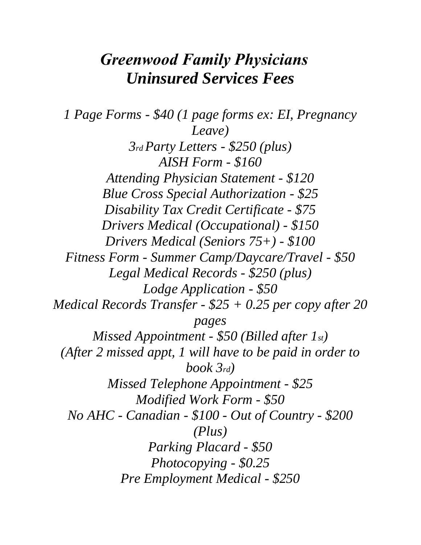## *Greenwood Family Physicians Uninsured Services Fees*

*1 Page Forms - \$40 (1 page forms ex: EI, Pregnancy Leave) 3rd Party Letters - \$250 (plus) AISH Form - \$160 Attending Physician Statement - \$120 Blue Cross Special Authorization - \$25 Disability Tax Credit Certificate - \$75 Drivers Medical (Occupational) - \$150 Drivers Medical (Seniors 75+) - \$100 Fitness Form - Summer Camp/Daycare/Travel - \$50 Legal Medical Records - \$250 (plus) Lodge Application - \$50 Medical Records Transfer - \$25 + 0.25 per copy after 20 pages Missed Appointment - \$50 (Billed after 1st) (After 2 missed appt, 1 will have to be paid in order to book 3rd) Missed Telephone Appointment - \$25 Modified Work Form - \$50 No AHC - Canadian - \$100 - Out of Country - \$200 (Plus) Parking Placard - \$50 Photocopying - \$0.25 Pre Employment Medical - \$250*